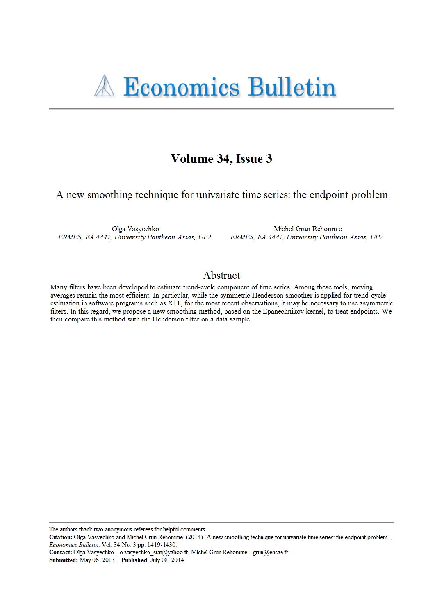# Volume 34, Issue 3

A new smoothing technique for univariate time series: the endpoint problem

Olga Vasyechko ERMES, EA 4441, University Pantheon-Assas, UP2

Michel Grun Rehomme ERMES, EA 4441, University Pantheon-Assas, UP2

### Abstract

Many filters have been developed to estimate trend-cycle component of time series. Among these tools, moving averages remain the most efficient. In particular, while the symmetric Henderson smoother is applied for trend-cycle estimation in software programs such as X11, for the most recent observations, it may be necessary to use asymmetric filters. In this regard, we propose a new smoothing method, based on the Epanechnikov kernel, to treat endpoints. We then compare this method with the Henderson filter on a data sample.

The authors thank two anonymous referees for helpful comments.

Contact: Olga Vasyechko - o.vasyechko\_stat@yahoo.fr, Michel Grun Rehomme - grun@ensae.fr.

Submitted: May 06, 2013. Published: July 08, 2014.

Citation: Olga Vasyechko and Michel Grun Rehomme, (2014) "A new smoothing technique for univariate time series: the endpoint problem", Economics Bulletin, Vol. 34 No. 3 pp. 1419-1430.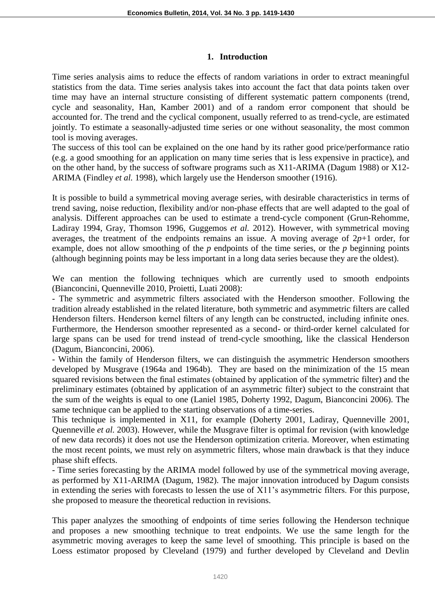### **1. Introduction**

Time series analysis aims to reduce the effects of random variations in order to extract meaningful statistics from the data. Time series analysis takes into account the fact that data points taken over time may have an internal structure consisting of different systematic pattern components (trend, cycle and seasonality, Han, Kamber 2001) and of a random error component that should be accounted for. The trend and the cyclical component, usually referred to as trend-cycle, are estimated jointly. To estimate a seasonally-adjusted time series or one without seasonality, the most common tool is moving averages.

The success of this tool can be explained on the one hand by its rather good price/performance ratio (e.g. a good smoothing for an application on many time series that is less expensive in practice), and on the other hand, by the success of software programs such as X11-ARIMA (Dagum 1988) or X12- ARIMA (Findley *et al.* 1998), which largely use the Henderson smoother (1916).

It is possible to build a symmetrical moving average series, with desirable characteristics in terms of trend saving, noise reduction, flexibility and/or non-phase effects that are well adapted to the goal of analysis. Different approaches can be used to estimate a trend-cycle component (Grun-Rehomme, Ladiray 1994, Gray, Thomson 1996, Guggemos *et al.* 2012). However, with symmetrical moving averages, the treatment of the endpoints remains an issue. A moving average of  $2p+1$  order, for example, does not allow smoothing of the *p* endpoints of the time series, or the *p* beginning points (although beginning points may be less important in a long data series because they are the oldest).

We can mention the following techniques which are currently used to smooth endpoints (Bianconcini, Quenneville 2010, Proietti, Luati 2008):

- The symmetric and asymmetric filters associated with the Henderson smoother. Following the tradition already established in the related literature, both symmetric and asymmetric filters are called Henderson filters. Henderson kernel filters of any length can be constructed, including infinite ones. Furthermore, the Henderson smoother represented as a second- or third-order kernel calculated for large spans can be used for trend instead of trend-cycle smoothing, like the classical Henderson (Dagum, Bianconcini, 2006).

- Within the family of Henderson filters, we can distinguish the asymmetric Henderson smoothers developed by Musgrave (1964a and 1964b). They are based on the minimization of the 15 mean squared revisions between the final estimates (obtained by application of the symmetric filter) and the preliminary estimates (obtained by application of an asymmetric filter) subject to the constraint that the sum of the weights is equal to one (Laniel 1985, Doherty 1992, Dagum, Bianconcini 2006). The same technique can be applied to the starting observations of a time-series.

This technique is implemented in X11, for example (Doherty 2001, Ladiray, Ouenneville 2001, Quenneville *et al.* 2003). However, while the Musgrave filter is optimal for revision (with knowledge of new data records) it does not use the Henderson optimization criteria. Moreover, when estimating the most recent points, we must rely on asymmetric filters, whose main drawback is that they induce phase shift effects.

- Time series forecasting by the ARIMA model followed by use of the symmetrical moving average, as performed by X11-ARIMA (Dagum, 1982). The major innovation introduced by Dagum consists in extending the series with forecasts to lessen the use of X11"s asymmetric filters. For this purpose, she proposed to measure the theoretical reduction in revisions.

This paper analyzes the smoothing of endpoints of time series following the Henderson technique and proposes a new smoothing technique to treat endpoints. We use the same length for the asymmetric moving averages to keep the same level of smoothing. This principle is based on the Loess estimator proposed by Cleveland (1979) and further developed by Cleveland and Devlin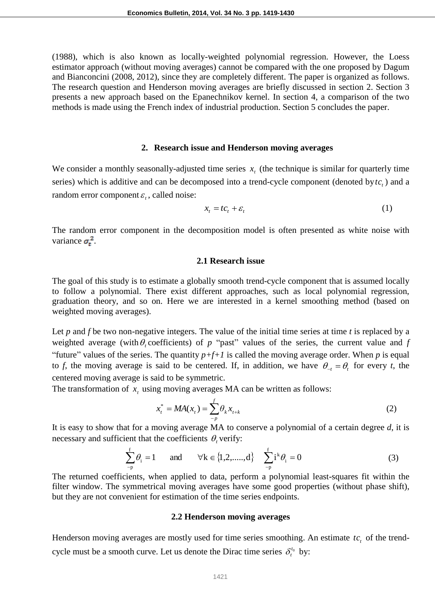(1988), which is also known as locally-weighted polynomial regression. However, the Loess estimator approach (without moving averages) cannot be compared with the one proposed by Dagum and Bianconcini (2008, 2012), since they are completely different. The paper is organized as follows. The research question and Henderson moving averages are briefly discussed in section 2. Section 3 presents a new approach based on the Epanechnikov kernel. In section 4, a comparison of the two methods is made using the French index of industrial production. Section 5 concludes the paper.

#### **2. Research issue and Henderson moving averages**

We consider a monthly seasonally-adjusted time series  $x<sub>t</sub>$  (the technique is similar for quarterly time series) which is additive and can be decomposed into a trend-cycle component (denoted by  $tc<sub>t</sub>$ ) and a random error component  $\varepsilon$ <sub>t</sub>, called noise:

$$
x_t = t c_t + \varepsilon_t \tag{1}
$$

The random error component in the decomposition model is often presented as white noise with variance  $\sigma_t^2$ .

#### **2.1 Research issue**

The goal of this study is to estimate a globally smooth trend-cycle component that is assumed locally to follow a polynomial. There exist different approaches, such as local polynomial regression, graduation theory, and so on. Here we are interested in a kernel smoothing method (based on weighted moving averages).

Let *p* and *f* be two non-negative integers. The value of the initial time series at time *t* is replaced by a weighted average (with  $\theta_t$  coefficients) of p "past" values of the series, the current value and f "future" values of the series. The quantity  $p+f+1$  is called the moving average order. When  $p$  is equal to *f*, the moving average is said to be centered. If, in addition, we have  $\theta_{-t} = \theta_t$  for every *t*, the centered moving average is said to be symmetric.

The transformation of  $x_t$  using moving averages MA can be written as follows:

$$
x_t^* = MA(x_t) = \sum_{-p}^f \theta_k x_{t+k}
$$
 (2)

It is easy to show that for a moving average MA to conserve a polynomial of a certain degree *d*, it is necessary and sufficient that the coefficients  $\theta_t$  verify:

$$
\sum_{-p}^{f} \theta_i = 1 \quad \text{and} \quad \forall k \in \{1, 2, \dots, d\} \quad \sum_{-p}^{f} i^k \theta_i = 0 \tag{3}
$$

The returned coefficients, when applied to data, perform a polynomial least-squares fit within the filter window. The symmetrical moving averages have some good properties (without phase shift), but they are not convenient for estimation of the time series endpoints.

#### **2.2 Henderson moving averages**

Henderson moving averages are mostly used for time series smoothing. An estimate  $tc<sub>t</sub>$  of the trendcycle must be a smooth curve. Let us denote the Dirac time series  $\delta_t^{t_0}$  by: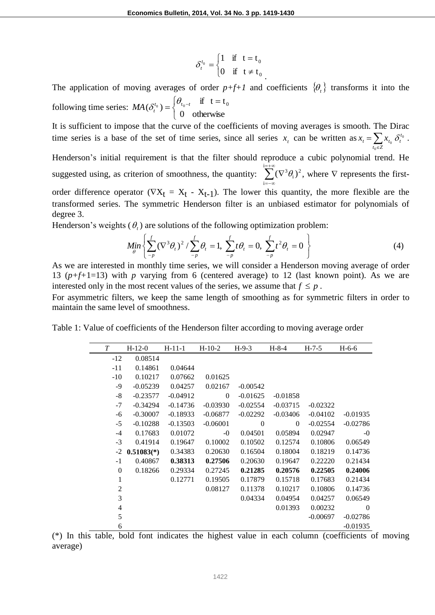$$
\delta_t^{t_0} = \begin{cases} 1 & \text{if } t = t_0 \\ 0 & \text{if } t \neq t_0 \end{cases}
$$

The application of moving averages of order  $p+f+1$  and coefficients  $\{\theta_t\}$  transforms it into the following time series: ┤  $=\begin{cases} \theta_{t_0-t} & \text{if } t=1 \end{cases}$ 0 otherwise if  $t = t$  $MA(\delta_t^{t_0}) = \begin{cases} \theta_{t_0-t} & \text{if } t = t_0 \\ 0 & \text{otherwise} \end{cases}$  $\delta$ 

 $\overline{\mathcal{L}}$ It is sufficient to impose that the curve of the coefficients of moving averages is smooth. The Dirac time series is a base of the set of time series, since all series  $x_t$  can be written as  $x_t = \sum x_{t_0} \delta_t^t$  $x_t = \sum x_{t_0} \delta_t^{t_0}$  $\delta^{t_0}_t$  .

Henderson"s initial requirement is that the filter should reproduce a cubic polynomial trend. He suggested using, as criterion of smoothness, the quantity:  $\sum (\nabla^3 \theta_i)$ i i  $\sum_{i=\pm\infty}^{i=\pm\infty} (\nabla^3 \theta_i)^2$  $=-\infty$  $\sum_{i=-\infty}^{+\infty} (\nabla^3 \theta_i)^2$ , where  $\nabla$  represents the firstorder difference operator  $(\nabla X_t = X_t - X_{t-1})$ . The lower this quantity, the more flexible are the transformed series. The symmetric Henderson filter is an unbiased estimator for polynomials of degree 3.

Henderson's weights  $(\theta_t)$  are solutions of the following optimization problem:

$$
Min_{\theta} \left\{ \sum_{-p}^{f} (\nabla^3 \theta_t)^2 / \sum_{-p}^{f} \theta_t = 1, \ \sum_{-p}^{f} t \theta_t = 0, \ \sum_{-p}^{f} t^2 \theta_t = 0 \right\}
$$
 (4)

.

 $\in$  $t_0 \in Z$ 

 $\mathbf 0$ 

As we are interested in monthly time series, we will consider a Henderson moving average of order 13 (*p+f+*1=13) with *p* varying from 6 (centered average) to 12 (last known point). As we are interested only in the most recent values of the series, we assume that  $f \leq p$ .

For asymmetric filters, we keep the same length of smoothing as for symmetric filters in order to maintain the same level of smoothness.

|  |  |  |  | Table 1: Value of coefficients of the Henderson filter according to moving average order |
|--|--|--|--|------------------------------------------------------------------------------------------|

| T        | $H-12-0$     | $H-11-1$   | $H-10-2$   | $H-9-3$    | $H-8-4$    | $H-7-5$    | $H-6-6$    |
|----------|--------------|------------|------------|------------|------------|------------|------------|
| $-12$    | 0.08514      |            |            |            |            |            |            |
| $-11$    | 0.14861      | 0.04644    |            |            |            |            |            |
| $-10$    | 0.10217      | 0.07662    | 0.01625    |            |            |            |            |
| -9       | $-0.05239$   | 0.04257    | 0.02167    | $-0.00542$ |            |            |            |
| $-8$     | $-0.23577$   | $-0.04912$ | $\Omega$   | $-0.01625$ | $-0.01858$ |            |            |
| $-7$     | $-0.34294$   | $-0.14736$ | $-0.03930$ | $-0.02554$ | $-0.03715$ | $-0.02322$ |            |
| -6       | $-0.30007$   | $-0.18933$ | $-0.06877$ | $-0.02292$ | $-0.03406$ | $-0.04102$ | $-0.01935$ |
| $-5$     | $-0.10288$   | $-0.13503$ | $-0.06001$ | $\theta$   | $\Omega$   | $-0.02554$ | $-0.02786$ |
| $-4$     | 0.17683      | 0.01072    | $-0$       | 0.04501    | 0.05894    | 0.02947    | $-0$       |
| $-3$     | 0.41914      | 0.19647    | 0.10002    | 0.10502    | 0.12574    | 0.10806    | 0.06549    |
| $-2$     | $0.51083(*)$ | 0.34383    | 0.20630    | 0.16504    | 0.18004    | 0.18219    | 0.14736    |
| $-1$     | 0.40867      | 0.38313    | 0.27506    | 0.20630    | 0.19647    | 0.22220    | 0.21434    |
| $\Omega$ | 0.18266      | 0.29334    | 0.27245    | 0.21285    | 0.20576    | 0.22505    | 0.24006    |
| 1        |              | 0.12771    | 0.19505    | 0.17879    | 0.15718    | 0.17683    | 0.21434    |
| 2        |              |            | 0.08127    | 0.11378    | 0.10217    | 0.10806    | 0.14736    |
| 3        |              |            |            | 0.04334    | 0.04954    | 0.04257    | 0.06549    |
| 4        |              |            |            |            | 0.01393    | 0.00232    | $\theta$   |
| 5        |              |            |            |            |            | $-0.00697$ | $-0.02786$ |
| 6        |              |            |            |            |            |            | $-0.01935$ |

(\*) In this table, bold font indicates the highest value in each column (coefficients of moving average)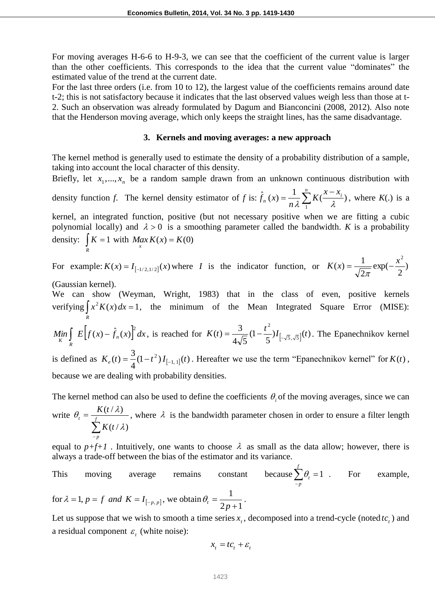For moving averages H-6-6 to H-9-3, we can see that the coefficient of the current value is larger than the other coefficients. This corresponds to the idea that the current value "dominates" the estimated value of the trend at the current date.

For the last three orders (i.e. from 10 to 12), the largest value of the coefficients remains around date t-2; this is not satisfactory because it indicates that the last observed values weigh less than those at t-2. Such an observation was already formulated by Dagum and Bianconcini (2008, 2012). Also note that the Henderson moving average, which only keeps the straight lines, has the same disadvantage.

#### **3. Kernels and moving averages: a new approach**

The kernel method is generally used to estimate the density of a probability distribution of a sample, taking into account the local character of this density.

Briefly, let  $x_1, \ldots, x_n$  be a random sample drawn from an unknown continuous distribution with density function *f*. The kernel density estimator of *f* is:  $\hat{f}_n(x) = \frac{1}{n^2} \sum_{n=1}^n K(\frac{x - x_n}{n})$  $K(\frac{x-x}{\lambda})$ *n*  $f_n(x)$ 1  $\hat{f}_n(x) = \frac{1}{\lambda} \sum_{i=1}^{n} K(\frac{x - x_i}{x_i})$  $\frac{1}{\lambda} \sum_{i=1}^{N} K(\frac{x - x_i}{\lambda})$ , where  $K(.)$  is a

kernel, an integrated function, positive (but not necessary positive when we are fitting a cubic polynomial locally) and  $\lambda > 0$  is a smoothing parameter called the bandwidth. *K* is a probability density:  $\int_{R} K = 1$  $K = 1$  with  $Max_{x} K(x) = K(0)$ 

For example:  $K(x) = I_{[-1/2,1/2]}(x)$  where *I* is the indicator function, or  $K(x) = \frac{1}{\sqrt{2}} \exp(-\frac{x}{2})$ 2 exp( 2  $(x) = \frac{1}{x}$  $K(x) = \frac{1}{\sqrt{2}} \exp(-\frac{x^2}{2})$  $\pi$ 

(Gaussian kernel).

We can show (Weyman, Wright, 1983) that in the class of even, positive kernels verifying  $\int_{R} x^2 K(x) dx = 1$  $x^2 K(x) dx = 1$ , the minimum of the Mean Integrated Square Error (MISE): 2

 $\lim_{x \to a} \left[ E[f(x) - f_n(x)] \right] dx$  $K$  *R*  $\int E\Big[f(x) - \hat{f}_n(x)\Big]^2 dx$ , is reached for  $K(t) = \frac{3}{4\sqrt{5}}(1 - \frac{t^2}{5})I_{[-\sqrt{5},\sqrt{5}]}(t)$ 5 (1  $4\sqrt{5}$  $f(t) = \frac{3}{4\sqrt{5}}(1-\frac{t^2}{5})I_{-\sqrt{5},\sqrt{5}}$  $K(t) = \frac{3}{4\sqrt{5}}(1-\frac{t^2}{5})I_{[-\sqrt{5},\sqrt{5}]}(t)$ . The Epanechnikov kernel

is defined as  $K_e(t) = \frac{3}{4}(1-t^2)I_{[-1,1]}(t)$ 4  $K_e(t) = \frac{3}{4}(1-t^2)I_{[-1,1]}(t)$ . Hereafter we use the term "Epanechnikov kernel" for  $K(t)$ , because we are dealing with probability densities.

The kernel method can also be used to define the coefficients  $\theta_i$  of the moving averages, since we can write  $\sum_{-p}$  $=\frac{f}{f}$ *p t K t K t*  $(t/\lambda)$  $(t/\lambda)$  $\mathcal{X}$  $\theta_i = \frac{K(t/\lambda)}{t}$ , where  $\lambda$  is the bandwidth parameter chosen in order to ensure a filter length

equal to  $p+f+1$ . Intuitively, one wants to choose  $\lambda$  as small as the data allow; however, there is always a trade-off between the bias of the estimator and its variance.

This moving average remains constant because 
$$
\sum_{-p}^{f} \theta_i = 1
$$
. For example,  
for  $\lambda = 1$ ,  $p = f$  and  $K = I_{[-p, p]}$ , we obtain  $\theta_i = \frac{1}{2p+1}$ .

Let us suppose that we wish to smooth a time series  $x_t$ , decomposed into a trend-cycle (noted  $tc_t$ ) and a residual component  $\varepsilon_t$  (white noise):

$$
x_t = tc_t + \varepsilon_t
$$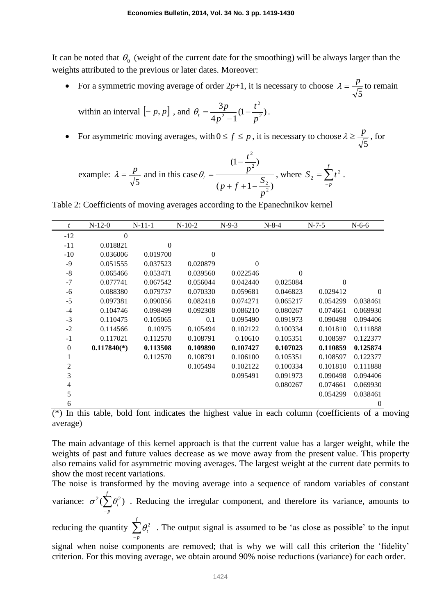It can be noted that  $\theta_0$  (weight of the current date for the smoothing) will be always larger than the weights attributed to the previous or later dates. Moreover:

• For a symmetric moving average of order  $2p+1$ , it is necessary to choose 5  $\lambda = \frac{p}{\sqrt{p}}$  to remain

within an interval 
$$
[-p, p]
$$
, and  $\theta_t = \frac{3p}{4p^2 - 1}(1 - \frac{t^2}{p^2})$ .

• For asymmetric moving averages, with  $0 \le f \le p$ , it is necessary to choose 5  $\lambda \geq \frac{p}{\sqrt{p}}$ , for

example: 
$$
\lambda = \frac{p}{\sqrt{5}}
$$
 and in this case  $\theta_t = \frac{(1 - \frac{t^2}{p^2})}{(p + f + 1 - \frac{S_2}{p^2})}$ , where  $S_2 = \sum_{-p}^{f} t^2$ .

Table 2: Coefficients of moving averages according to the Epanechnikov kernel

| t        | $N-12-0$      | $N-11-1$     | $N-10-2$ | $N-9-3$  | $N-8-4$  | $N-7-5$  | $N-6-6$  |
|----------|---------------|--------------|----------|----------|----------|----------|----------|
| $-12$    | $\mathbf{0}$  |              |          |          |          |          |          |
| $-11$    | 0.018821      | $\mathbf{0}$ |          |          |          |          |          |
| $-10$    | 0.036006      | 0.019700     | $\Omega$ |          |          |          |          |
| $-9$     | 0.051555      | 0.037523     | 0.020879 | $\Omega$ |          |          |          |
| $-8$     | 0.065466      | 0.053471     | 0.039560 | 0.022546 | $\Omega$ |          |          |
| $-7$     | 0.077741      | 0.067542     | 0.056044 | 0.042440 | 0.025084 | $\Omega$ |          |
| $-6$     | 0.088380      | 0.079737     | 0.070330 | 0.059681 | 0.046823 | 0.029412 | $\Omega$ |
| $-5$     | 0.097381      | 0.090056     | 0.082418 | 0.074271 | 0.065217 | 0.054299 | 0.038461 |
| $-4$     | 0.104746      | 0.098499     | 0.092308 | 0.086210 | 0.080267 | 0.074661 | 0.069930 |
| $-3$     | 0.110475      | 0.105065     | 0.1      | 0.095490 | 0.091973 | 0.090498 | 0.094406 |
| $-2$     | 0.114566      | 0.10975      | 0.105494 | 0.102122 | 0.100334 | 0.101810 | 0.111888 |
| $-1$     | 0.117021      | 0.112570     | 0.108791 | 0.10610  | 0.105351 | 0.108597 | 0.122377 |
| $\theta$ | $0.117840(*)$ | 0.113508     | 0.109890 | 0.107427 | 0.107023 | 0.110859 | 0.125874 |
| 1        |               | 0.112570     | 0.108791 | 0.106100 | 0.105351 | 0.108597 | 0.122377 |
| 2        |               |              | 0.105494 | 0.102122 | 0.100334 | 0.101810 | 0.111888 |
| 3        |               |              |          | 0.095491 | 0.091973 | 0.090498 | 0.094406 |
| 4        |               |              |          |          | 0.080267 | 0.074661 | 0.069930 |
| 5        |               |              |          |          |          | 0.054299 | 0.038461 |
| 6        |               |              |          |          |          |          | 0        |

(\*) In this table, bold font indicates the highest value in each column (coefficients of a moving average)

The main advantage of this kernel approach is that the current value has a larger weight, while the weights of past and future values decrease as we move away from the present value. This property also remains valid for asymmetric moving averages. The largest weight at the current date permits to show the most recent variations.

The noise is transformed by the moving average into a sequence of random variables of constant variance:  $\sigma^2(\sum_{-p}^f$ *p*  $\sigma^2(\sum \theta_i^2)$ . Reducing the irregular component, and therefore its variance, amounts to

reducing the quantity  $\sum_{-p}^{f}$ *p t*  $\theta_t^2$ . The output signal is assumed to be 'as close as possible' to the input signal when noise components are removed; that is why we will call this criterion the 'fidelity' criterion. For this moving average, we obtain around 90% noise reductions (variance) for each order.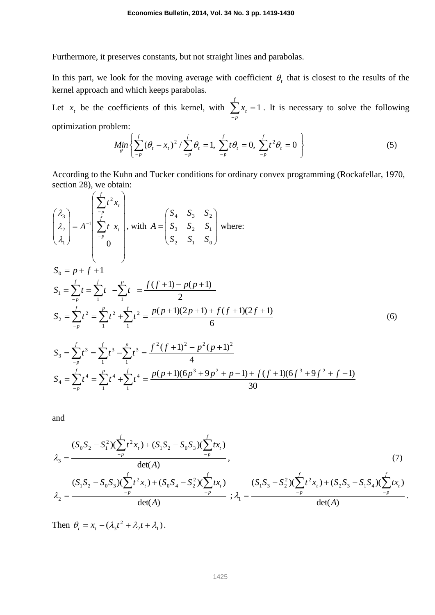Furthermore, it preserves constants, but not straight lines and parabolas.

In this part, we look for the moving average with coefficient  $\theta$ , that is closest to the results of the kernel approach and which keeps parabolas.

Let  $x_t$  be the coefficients of this kernel, with  $\sum_{-p}^{\infty} x_t =$ *f p*  $x_t = 1$ . It is necessary to solve the following optimization problem:

$$
Min_{\theta} \left\{ \sum_{-p}^{f} (\theta_t - x_t)^2 / \sum_{-p}^{f} \theta_t = 1, \ \sum_{-p}^{f} t \theta_t = 0, \ \sum_{-p}^{f} t^2 \theta_t = 0 \right\}
$$
 (5)

According to the Kuhn and Tucker conditions for ordinary convex programming (Rockafellar, 1970, section 28), we obtain:  $\Delta$ 

$$
\begin{pmatrix}\n\lambda_3 \\
\lambda_2 \\
\lambda_1\n\end{pmatrix} = A^{-1} \begin{pmatrix}\n\sum_{-p}^{f} t^2 x_t \\
\sum_{-p}^{f} t x_t \\
0\n\end{pmatrix}, \text{ with } A = \begin{pmatrix}\nS_4 & S_3 & S_2 \\
S_3 & S_2 & S_1 \\
S_2 & S_1 & S_0\n\end{pmatrix} \text{ where:}
$$
\n
$$
S_0 = p + f + 1
$$
\n
$$
S_1 = \sum_{-p}^{f} t = \sum_{-p}^{f} t - \sum_{1}^{p} t = \frac{f(f+1) - p(p+1)}{2}
$$
\n
$$
S_2 = \sum_{-p}^{f} t^2 = \sum_{1}^{p} t^2 + \sum_{1}^{f} t^2 = \frac{p(p+1)(2p+1) + f(f+1)(2f+1)}{6}
$$
\n
$$
S_3 = \sum_{-p}^{f} t^3 = \sum_{1}^{f} t^3 - \sum_{1}^{p} t^3 = \frac{f^2(f+1)^2 - p^2(p+1)^2}{4}
$$
\n(6)

$$
S_3 = \sum_{-p} t^4 = \sum_{1} t^4 + \sum_{1} t^4 = \frac{p(p+1)(6p^3 + 9p^2 + p - 1) + f(f+1)(6f^3 + 9f^2 + f - 1)}{30}
$$

and

$$
\lambda_3 = \frac{(S_0 S_2 - S_1^2)(\sum_{-p}^{f} t^2 x_t) + (S_1 S_2 - S_0 S_3)(\sum_{-p}^{f} t x_t)}{\det(A)},
$$
\n
$$
\lambda_2 = \frac{(S_1 S_2 - S_0 S_3)(\sum_{-p}^{f} t^2 x_t) + (S_0 S_4 - S_2^2)(\sum_{-p}^{f} t x_t)}{\det(A)},
$$
\n
$$
\lambda_3 = \frac{(S_1 S_3 - S_2^2)(\sum_{-p}^{f} t^2 x_t) + (S_2 S_3 - S_1 S_4)(\sum_{-p}^{f} t x_t)}{\det(A)}.
$$
\n(7)

Then  $\theta_t = x_t - (\lambda_3 t^2 + \lambda_2 t + \lambda_1)$ .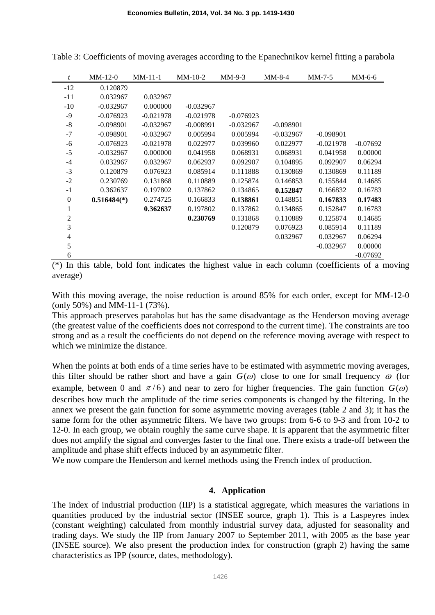| t            | $MM-12-0$     | $MM-11-1$   | $MM-10-2$   | $MM-9-3$    | $MM-8-4$    | $MM-7-5$    | $MM-6-6$   |
|--------------|---------------|-------------|-------------|-------------|-------------|-------------|------------|
| $-12$        | 0.120879      |             |             |             |             |             |            |
| $-11$        | 0.032967      | 0.032967    |             |             |             |             |            |
| $-10$        | $-0.032967$   | 0.000000    | $-0.032967$ |             |             |             |            |
| $-9$         | $-0.076923$   | $-0.021978$ | $-0.021978$ | $-0.076923$ |             |             |            |
| $-8$         | $-0.098901$   | $-0.032967$ | $-0.008991$ | $-0.032967$ | $-0.098901$ |             |            |
| $-7$         | $-0.098901$   | $-0.032967$ | 0.005994    | 0.005994    | $-0.032967$ | $-0.098901$ |            |
| -6           | $-0.076923$   | $-0.021978$ | 0.022977    | 0.039960    | 0.022977    | $-0.021978$ | $-0.07692$ |
| $-5$         | $-0.032967$   | 0.000000    | 0.041958    | 0.068931    | 0.068931    | 0.041958    | 0.00000    |
| $-4$         | 0.032967      | 0.032967    | 0.062937    | 0.092907    | 0.104895    | 0.092907    | 0.06294    |
| $-3$         | 0.120879      | 0.076923    | 0.085914    | 0.111888    | 0.130869    | 0.130869    | 0.11189    |
| $-2$         | 0.230769      | 0.131868    | 0.110889    | 0.125874    | 0.146853    | 0.155844    | 0.14685    |
| $-1$         | 0.362637      | 0.197802    | 0.137862    | 0.134865    | 0.152847    | 0.166832    | 0.16783    |
| $\mathbf{0}$ | $0.516484(*)$ | 0.274725    | 0.166833    | 0.138861    | 0.148851    | 0.167833    | 0.17483    |
| 1            |               | 0.362637    | 0.197802    | 0.137862    | 0.134865    | 0.152847    | 0.16783    |
| 2            |               |             | 0.230769    | 0.131868    | 0.110889    | 0.125874    | 0.14685    |
| 3            |               |             |             | 0.120879    | 0.076923    | 0.085914    | 0.11189    |
| 4            |               |             |             |             | 0.032967    | 0.032967    | 0.06294    |
| 5            |               |             |             |             |             | $-0.032967$ | 0.00000    |
| 6            |               |             |             |             |             |             | $-0.07692$ |

Table 3: Coefficients of moving averages according to the Epanechnikov kernel fitting a parabola

 $\overline{(*)}$  In this table, bold font indicates the highest value in each column (coefficients of a moving average)

With this moving average, the noise reduction is around 85% for each order, except for MM-12-0 (only 50%) and MM-11-1 (73%).

This approach preserves parabolas but has the same disadvantage as the Henderson moving average (the greatest value of the coefficients does not correspond to the current time). The constraints are too strong and as a result the coefficients do not depend on the reference moving average with respect to which we minimize the distance.

When the points at both ends of a time series have to be estimated with asymmetric moving averages, this filter should be rather short and have a gain  $G(\omega)$  close to one for small frequency  $\omega$  (for example, between 0 and  $\pi/6$ ) and near to zero for higher frequencies. The gain function  $G(\omega)$ describes how much the amplitude of the time series components is changed by the filtering. In the annex we present the gain function for some asymmetric moving averages (table 2 and 3); it has the same form for the other asymmetric filters. We have two groups: from 6-6 to 9-3 and from 10-2 to 12-0. In each group, we obtain roughly the same curve shape. It is apparent that the asymmetric filter does not amplify the signal and converges faster to the final one. There exists a trade-off between the amplitude and phase shift effects induced by an asymmetric filter.

We now compare the Henderson and kernel methods using the French index of production.

#### **4. Application**

The index of industrial production (IIP) is a statistical aggregate, which measures the variations in quantities produced by the industrial sector (INSEE source, graph 1). This is a Laspeyres index (constant weighting) calculated from monthly industrial survey data, adjusted for seasonality and trading days. We study the IIP from January 2007 to September 2011, with 2005 as the base year (INSEE source). We also present the production index for construction (graph 2) having the same characteristics as IPP (source, dates, methodology).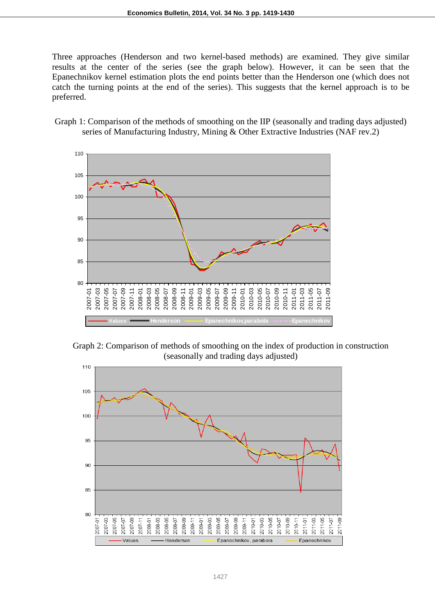Three approaches (Henderson and two kernel-based methods) are examined. They give similar results at the center of the series (see the graph below). However, it can be seen that the Epanechnikov kernel estimation plots the end points better than the Henderson one (which does not catch the turning points at the end of the series). This suggests that the kernel approach is to be preferred.

Graph 1: Comparison of the methods of smoothing on the IIP (seasonally and trading days adjusted) series of Manufacturing Industry, Mining & Other Extractive Industries (NAF rev.2)



Graph 2: Comparison of methods of smoothing on the index of production in construction (seasonally and trading days adjusted)

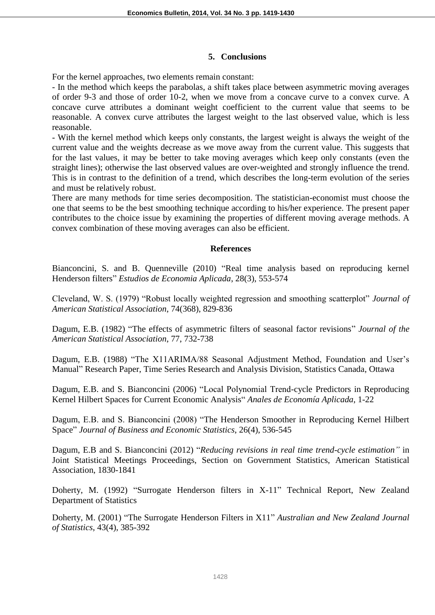#### **5. Conclusions**

For the kernel approaches, two elements remain constant:

- In the method which keeps the parabolas, a shift takes place between asymmetric moving averages of order 9-3 and those of order 10-2, when we move from a concave curve to a convex curve. A concave curve attributes a dominant weight coefficient to the current value that seems to be reasonable. A convex curve attributes the largest weight to the last observed value, which is less reasonable.

- With the kernel method which keeps only constants, the largest weight is always the weight of the current value and the weights decrease as we move away from the current value. This suggests that for the last values, it may be better to take moving averages which keep only constants (even the straight lines); otherwise the last observed values are over-weighted and strongly influence the trend. This is in contrast to the definition of a trend, which describes the long-term evolution of the series and must be relatively robust.

There are many methods for time series decomposition. The statistician-economist must choose the one that seems to be the best smoothing technique according to his/her experience. The present paper contributes to the choice issue by examining the properties of different moving average methods. A convex combination of these moving averages can also be efficient.

#### **References**

Bianconcini, S. and B. Quenneville (2010) "Real time analysis based on reproducing kernel Henderson filters" *Estudios de Economia Aplicada*, 28(3), 553-574

Cleveland, W. S. (1979) "Robust locally weighted regression and smoothing scatterplot" *Journal of American Statistical Association*, 74(368), 829-836

Dagum, E.B. (1982) "The effects of asymmetric filters of seasonal factor revisions" *Journal of the American Statistical Association*, 77, 732-738

Dagum, E.B. (1988) "The X11ARIMA/88 Seasonal Adjustment Method, Foundation and User's Manual" Research Paper, Time Series Research and Analysis Division, Statistics Canada, Ottawa

Dagum, E.B. and S. Bianconcini (2006) "Local Polynomial Trend-cycle Predictors in Reproducing Kernel Hilbert Spaces for Current Economic Analysis" *Anales de Economía Aplicada*, 1-22

Dagum, E.B. and S. Bianconcini (2008) "The Henderson Smoother in Reproducing Kernel Hilbert Space" *Journal of Business and Economic Statistics*, 26(4), 536-545

Dagum, E.B and S. Bianconcini (2012) "*Reducing revisions in real time trend-cycle estimation"* in Joint Statistical Meetings Proceedings, Section on Government Statistics, American Statistical Association, 1830-1841

Doherty, M. (1992) "Surrogate Henderson filters in X-11" Technical Report, New Zealand Department of Statistics

Doherty, M. (2001) "The Surrogate Henderson Filters in X11" *Australian and New Zealand Journal of Statistics*, 43(4), 385-392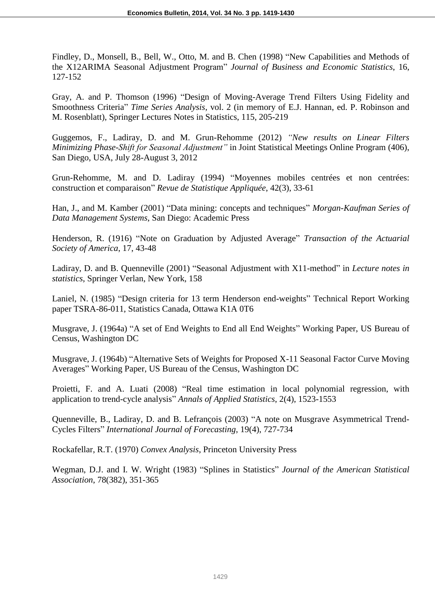Findley, D., Monsell, B., Bell, W., Otto, M. and B. Chen (1998) "New Capabilities and Methods of the X12ARIMA Seasonal Adjustment Program" *Journal of Business and Economic Statistics*, 16, 127-152

Gray, A. and P. Thomson (1996) "Design of Moving-Average Trend Filters Using Fidelity and Smoothness Criteria" *Time Series Analysis*, vol. 2 (in memory of E.J. Hannan, ed. P. Robinson and M. Rosenblatt), Springer Lectures Notes in Statistics, 115, 205-219

Guggemos, F., Ladiray, D. and M. Grun-Rehomme (2012) *"New results on Linear Filters Minimizing Phase-Shift for Seasonal Adjustment"* in Joint Statistical Meetings Online Program (406), San Diego, USA, July 28-August 3, 2012

Grun-Rehomme, M. and D. Ladiray (1994) "Moyennes mobiles centrées et non centrées: construction et comparaison" *Revue de Statistique Appliquée*, 42(3), 33-61

Han, J., and M. Kamber (2001) "Data mining: concepts and techniques" *Morgan-Kaufman Series of Data Management Systems*, San Diego: Academic Press

Henderson, R. (1916) "Note on Graduation by Adjusted Average" *Transaction of the Actuarial Society of America*, 17, 43-48

Ladiray, D. and B. Quenneville (2001) "Seasonal Adjustment with X11-method" in *Lecture notes in statistics*, Springer Verlan, New York, 158

Laniel, N. (1985) "Design criteria for 13 term Henderson end-weights" Technical Report Working paper TSRA-86-011, Statistics Canada, Ottawa K1A 0T6

Musgrave, J. (1964a) "A set of End Weights to End all End Weights" Working Paper, US Bureau of Census, Washington DC

Musgrave, J. (1964b) "Alternative Sets of Weights for Proposed X-11 Seasonal Factor Curve Moving Averages" Working Paper, US Bureau of the Census, Washington DC

Proietti, F. and A. Luati (2008) "Real time estimation in local polynomial regression, with application to trend-cycle analysis" *Annals of Applied Statistics*, 2(4), 1523-1553

Quenneville, B., Ladiray, D. and B. Lefrançois (2003) "A note on Musgrave Asymmetrical Trend-Cycles Filters" *International Journal of Forecasting*, 19(4), 727-734

Rockafellar, R.T. (1970) *Convex Analysis*, Princeton University Press

Wegman, D.J. and I. W. Wright (1983) "Splines in Statistics" *Journal of the American Statistical Association*, 78(382), 351-365